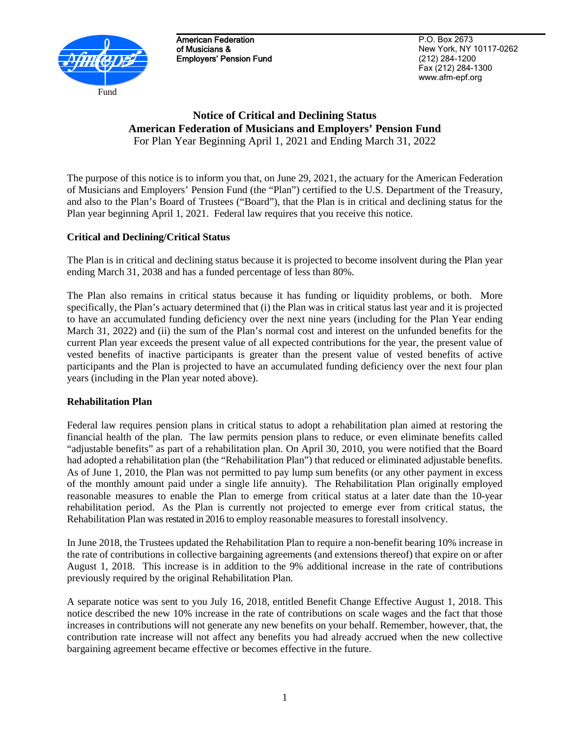

American Federation of Musicians & Employers' Pension Fund

P.O. Box 2673 New York, NY 10117-0262 (212) 284-1200 Fax (212) 284-1300 www.afm-epf.org

# **Notice of Critical and Declining Status American Federation of Musicians and Employers' Pension Fund** For Plan Year Beginning April 1, 2021 and Ending March 31, 2022

The purpose of this notice is to inform you that, on June 29, 2021, the actuary for the American Federation of Musicians and Employers' Pension Fund (the "Plan") certified to the U.S. Department of the Treasury, and also to the Plan's Board of Trustees ("Board"), that the Plan is in critical and declining status for the Plan year beginning April 1, 2021. Federal law requires that you receive this notice.

## **Critical and Declining/Critical Status**

The Plan is in critical and declining status because it is projected to become insolvent during the Plan year ending March 31, 2038 and has a funded percentage of less than 80%.

The Plan also remains in critical status because it has funding or liquidity problems, or both. More specifically, the Plan's actuary determined that (i) the Plan was in critical status last year and it is projected to have an accumulated funding deficiency over the next nine years (including for the Plan Year ending March 31, 2022) and (ii) the sum of the Plan's normal cost and interest on the unfunded benefits for the current Plan year exceeds the present value of all expected contributions for the year, the present value of vested benefits of inactive participants is greater than the present value of vested benefits of active participants and the Plan is projected to have an accumulated funding deficiency over the next four plan years (including in the Plan year noted above).

## **Rehabilitation Plan**

Federal law requires pension plans in critical status to adopt a rehabilitation plan aimed at restoring the financial health of the plan. The law permits pension plans to reduce, or even eliminate benefits called "adjustable benefits" as part of a rehabilitation plan. On April 30, 2010, you were notified that the Board had adopted a rehabilitation plan (the "Rehabilitation Plan") that reduced or eliminated adjustable benefits. As of June 1, 2010, the Plan was not permitted to pay lump sum benefits (or any other payment in excess of the monthly amount paid under a single life annuity). The Rehabilitation Plan originally employed reasonable measures to enable the Plan to emerge from critical status at a later date than the 10-year rehabilitation period. As the Plan is currently not projected to emerge ever from critical status, the Rehabilitation Plan was restated in 2016 to employ reasonable measures to forestall insolvency.

In June 2018, the Trustees updated the Rehabilitation Plan to require a non-benefit bearing 10% increase in the rate of contributions in collective bargaining agreements (and extensions thereof) that expire on or after August 1, 2018. This increase is in addition to the 9% additional increase in the rate of contributions previously required by the original Rehabilitation Plan.

A separate notice was sent to you July 16, 2018, entitled Benefit Change Effective August 1, 2018. This notice described the new 10% increase in the rate of contributions on scale wages and the fact that those increases in contributions will not generate any new benefits on your behalf. Remember, however, that, the contribution rate increase will not affect any benefits you had already accrued when the new collective bargaining agreement became effective or becomes effective in the future.